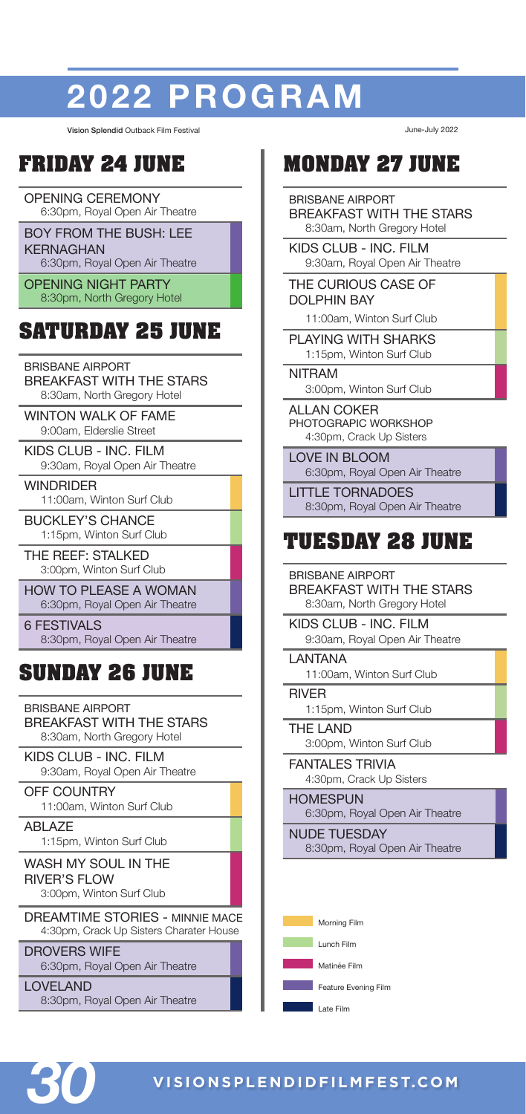# **TEXT 2022 PROGRAM**

Vision Splendid Outback Film Festival June-July 2022

## **FRIDAY 24 JUNE**

OPENING CEREMONY 6:30pm, Royal Open Air Theatre

BOY FROM THE BUSH: LEE KERNAGHAN 6:30pm, Royal Open Air Theatre

OPENING NIGHT PARTY 8:30pm, North Gregory Hotel

# **SATURDAY 25 JUNE**

BRISBANE AIRPORT

BREAKFAST WITH THE STARS 8:30am, North Gregory Hotel

WINTON WALK OF FAME 9:00am, Elderslie Street

KIDS CLUB - INC. FILM 9:30am, Royal Open Air Theatre

WINDRIDER 11:00am, Winton Surf Club

BUCKLEY'S CHANCE 1:15pm, Winton Surf Club

THE REEF: STALKED 3:00pm, Winton Surf Club

HOW TO PLEASE A WOMAN 6:30pm, Royal Open Air Theatre

**6 FESTIVALS** 8:30pm, Royal Open Air Theatre

## **SUNDAY 26 JUNE**

BRISBANE AIRPORT BREAKFAST WITH THE STARS 8:30am, North Gregory Hotel

KIDS CLUB - INC. FILM 9:30am, Royal Open Air Theatre

OFF COUNTRY 11:00am, Winton Surf Club

ABLAZE 1:15pm, Winton Surf Club

WASH MY SOUL IN THE RIVER'S FLOW 3:00pm, Winton Surf Club

DREAMTIME STORIES - MINNIE MACE 4:30pm, Crack Up Sisters Charater House

DROVERS WIFE 6:30pm, Royal Open Air Theatre

LOVELAND 8:30pm, Royal Open Air Theatre

## **MONDAY 27 JUNE**

BRISBANE AIRPORT BREAKFAST WITH THE STARS 8:30am, North Gregory Hotel

KIDS CLUB - INC. FILM 9:30am, Royal Open Air Theatre

THE CURIOUS CASE OF DOLPHIN BAY

11:00am, Winton Surf Club

PLAYING WITH SHARKS 1:15pm, Winton Surf Club

NITRAM 3:00pm, Winton Surf Club

ALL AN COKER PHOTOGRAPIC WORKSHOP 4:30pm, Crack Up Sisters

LOVE IN BLOOM 6:30pm, Royal Open Air Theatre

LITTLE TORNADOES 8:30pm, Royal Open Air Theatre

## **TUESDAY 28 JUNE**

BRISBANE AIRPORT BREAKFAST WITH THE STARS 8:30am, North Gregory Hotel

KIDS CLUB - INC. FILM 9:30am, Royal Open Air Theatre

LANTANA 11:00am, Winton Surf Club

RIVER 1:15pm, Winton Surf Club

THE LAND 3:00pm, Winton Surf Club

FANTALES TRIVIA 4:30pm, Crack Up Sisters

**HOMESPUN** 6:30pm, Royal Open Air Theatre

NUDE TUESDAY 8:30pm, Royal Open Air Theatre